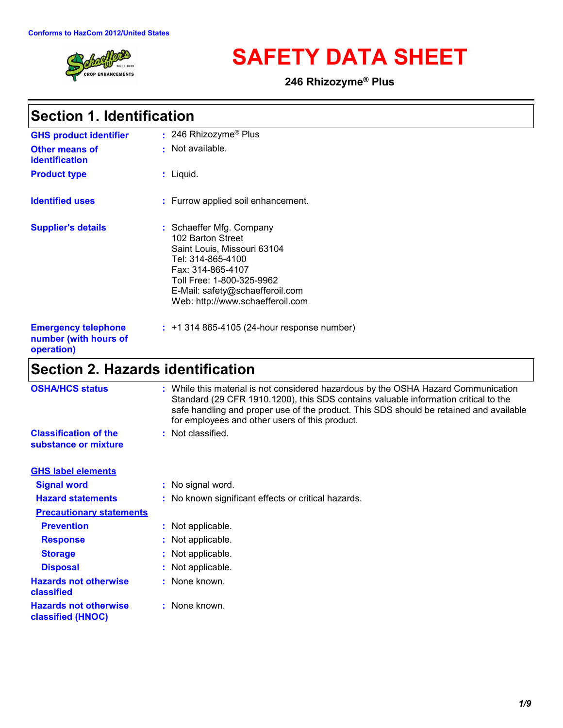

**SAFETY DATA SHEET**

**246 Rhizozyme® Plus**

# **Section 1. Identification**

| <b>GHS product identifier</b>                                     | $: 246$ Rhizozyme® Plus                                                                                                                                                                                                    |
|-------------------------------------------------------------------|----------------------------------------------------------------------------------------------------------------------------------------------------------------------------------------------------------------------------|
| <b>Other means of</b><br>identification                           | $\cdot$ Not available.                                                                                                                                                                                                     |
| <b>Product type</b>                                               | : Liquid.                                                                                                                                                                                                                  |
| <b>Identified uses</b>                                            | : Furrow applied soil enhancement.                                                                                                                                                                                         |
| <b>Supplier's details</b>                                         | : Schaeffer Mfg. Company<br>102 Barton Street<br>Saint Louis, Missouri 63104<br>Tel: 314-865-4100<br>Fax: 314-865-4107<br>Toll Free: 1-800-325-9962<br>E-Mail: safety@schaefferoil.com<br>Web: http://www.schaefferoil.com |
| <b>Emergency telephone</b><br>number (with hours of<br>operation) | $: +1314865 - 4105(24 - hour$ response number)                                                                                                                                                                             |

# **Section 2. Hazards identification**

| <b>OSHA/HCS status</b>                               | : While this material is not considered hazardous by the OSHA Hazard Communication<br>Standard (29 CFR 1910.1200), this SDS contains valuable information critical to the<br>safe handling and proper use of the product. This SDS should be retained and available<br>for employees and other users of this product. |
|------------------------------------------------------|-----------------------------------------------------------------------------------------------------------------------------------------------------------------------------------------------------------------------------------------------------------------------------------------------------------------------|
| <b>Classification of the</b><br>substance or mixture | : Not classified.                                                                                                                                                                                                                                                                                                     |
| <b>GHS label elements</b>                            |                                                                                                                                                                                                                                                                                                                       |
| <b>Signal word</b>                                   | : No signal word.                                                                                                                                                                                                                                                                                                     |
| <b>Hazard statements</b>                             | : No known significant effects or critical hazards.                                                                                                                                                                                                                                                                   |
| <b>Precautionary statements</b>                      |                                                                                                                                                                                                                                                                                                                       |
| <b>Prevention</b>                                    | : Not applicable.                                                                                                                                                                                                                                                                                                     |
| <b>Response</b>                                      | : Not applicable.                                                                                                                                                                                                                                                                                                     |
| <b>Storage</b>                                       | : Not applicable.                                                                                                                                                                                                                                                                                                     |
| <b>Disposal</b>                                      | : Not applicable.                                                                                                                                                                                                                                                                                                     |
| <b>Hazards not otherwise</b><br>classified           | : None known.                                                                                                                                                                                                                                                                                                         |
| <b>Hazards not otherwise</b><br>classified (HNOC)    | : None known.                                                                                                                                                                                                                                                                                                         |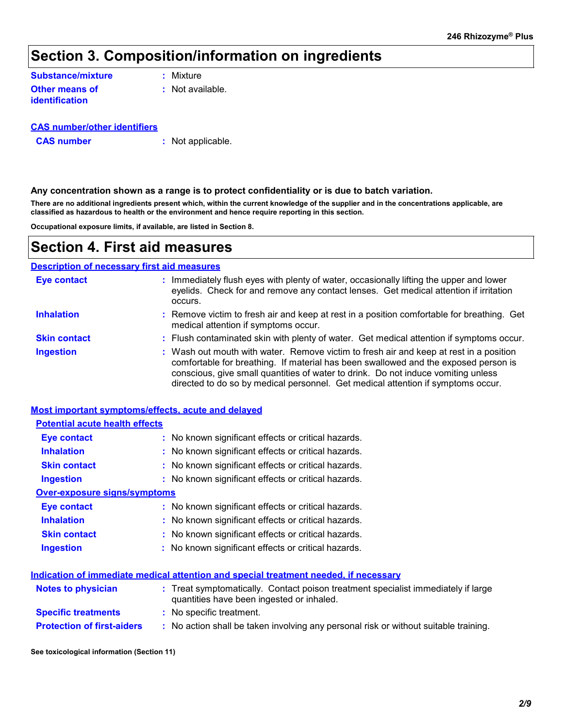# **Section 3. Composition/information on ingredients**

#### **Other means of identification Substance/mixture**

**:** Mixture

**:** Not available.

| <b>CAS number/other identifiers</b> |
|-------------------------------------|
|-------------------------------------|

**CAS number :** Not applicable.

#### **Any concentration shown as a range is to protect confidentiality or is due to batch variation.**

**There are no additional ingredients present which, within the current knowledge of the supplier and in the concentrations applicable, are classified as hazardous to health or the environment and hence require reporting in this section.**

**Occupational exposure limits, if available, are listed in Section 8.**

### **Section 4. First aid measures**

#### **Description of necessary first aid measures**

| <b>Eye contact</b>  | : Immediately flush eyes with plenty of water, occasionally lifting the upper and lower<br>eyelids. Check for and remove any contact lenses. Get medical attention if irritation<br>occurs.                                                                                                                                                            |
|---------------------|--------------------------------------------------------------------------------------------------------------------------------------------------------------------------------------------------------------------------------------------------------------------------------------------------------------------------------------------------------|
| <b>Inhalation</b>   | : Remove victim to fresh air and keep at rest in a position comfortable for breathing. Get<br>medical attention if symptoms occur.                                                                                                                                                                                                                     |
| <b>Skin contact</b> | : Flush contaminated skin with plenty of water. Get medical attention if symptoms occur.                                                                                                                                                                                                                                                               |
| <b>Ingestion</b>    | : Wash out mouth with water. Remove victim to fresh air and keep at rest in a position<br>comfortable for breathing. If material has been swallowed and the exposed person is<br>conscious, give small quantities of water to drink. Do not induce vomiting unless<br>directed to do so by medical personnel. Get medical attention if symptoms occur. |

|                                       | <b>Most important symptoms/effects, acute and delayed</b>                            |
|---------------------------------------|--------------------------------------------------------------------------------------|
| <b>Potential acute health effects</b> |                                                                                      |
| <b>Eye contact</b>                    | : No known significant effects or critical hazards.                                  |
| <b>Inhalation</b>                     | : No known significant effects or critical hazards.                                  |
| <b>Skin contact</b>                   | : No known significant effects or critical hazards.                                  |
| Ingestion                             | : No known significant effects or critical hazards.                                  |
| <b>Over-exposure signs/symptoms</b>   |                                                                                      |
| <b>Eye contact</b>                    | : No known significant effects or critical hazards.                                  |
| <b>Inhalation</b>                     | : No known significant effects or critical hazards.                                  |
| <b>Skin contact</b>                   | : No known significant effects or critical hazards.                                  |
| <b>Ingestion</b>                      | : No known significant effects or critical hazards.                                  |
|                                       |                                                                                      |
|                                       | Indication of immediate medical attention and special treatment needed, if necessary |

| <b>Notes to physician</b>         | : Treat symptomatically. Contact poison treatment specialist immediately if large<br>quantities have been ingested or inhaled. |
|-----------------------------------|--------------------------------------------------------------------------------------------------------------------------------|
| <b>Specific treatments</b>        | : No specific treatment.                                                                                                       |
| <b>Protection of first-aiders</b> | No action shall be taken involving any personal risk or without suitable training.                                             |

**See toxicological information (Section 11)**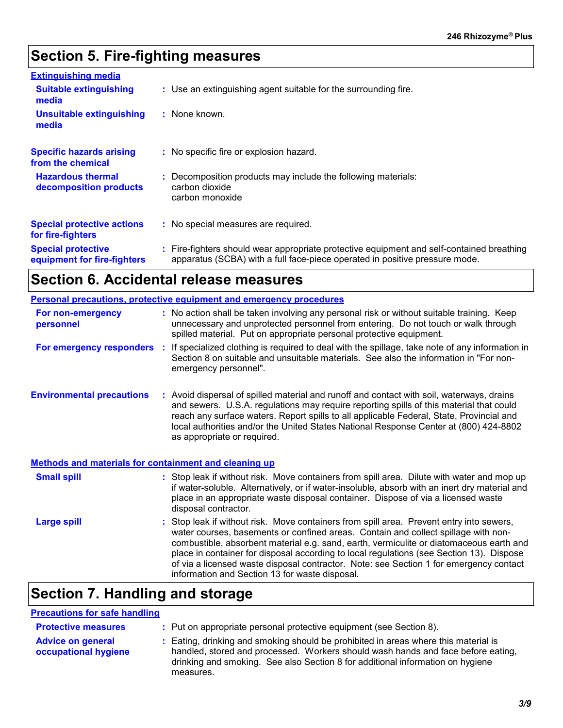# **Section 5. Fire-fighting measures**

| <b>Extinguishing media</b>                               |                                                                                                                                                                        |  |
|----------------------------------------------------------|------------------------------------------------------------------------------------------------------------------------------------------------------------------------|--|
| <b>Suitable extinguishing</b><br>media                   | : Use an extinguishing agent suitable for the surrounding fire.                                                                                                        |  |
| Unsuitable extinguishing<br>media                        | : None known.                                                                                                                                                          |  |
| <b>Specific hazards arising</b><br>from the chemical     | : No specific fire or explosion hazard.                                                                                                                                |  |
| <b>Hazardous thermal</b><br>decomposition products       | Decomposition products may include the following materials:<br>carbon dioxide<br>carbon monoxide                                                                       |  |
| <b>Special protective actions</b><br>for fire-fighters   | : No special measures are required.                                                                                                                                    |  |
| <b>Special protective</b><br>equipment for fire-fighters | Fire-fighters should wear appropriate protective equipment and self-contained breathing<br>apparatus (SCBA) with a full face-piece operated in positive pressure mode. |  |

# **Section 6. Accidental release measures**

|                                                              | Personal precautions, protective equipment and emergency procedures                                                                                                                                                                                                                                                                                                                                      |
|--------------------------------------------------------------|----------------------------------------------------------------------------------------------------------------------------------------------------------------------------------------------------------------------------------------------------------------------------------------------------------------------------------------------------------------------------------------------------------|
| For non-emergency<br>personnel                               | : No action shall be taken involving any personal risk or without suitable training. Keep<br>unnecessary and unprotected personnel from entering. Do not touch or walk through<br>spilled material. Put on appropriate personal protective equipment.                                                                                                                                                    |
| For emergency responders                                     | : If specialized clothing is required to deal with the spillage, take note of any information in<br>Section 8 on suitable and unsuitable materials. See also the information in "For non-<br>emergency personnel".                                                                                                                                                                                       |
| <b>Environmental precautions</b>                             | : Avoid dispersal of spilled material and runoff and contact with soil, waterways, drains<br>and sewers. U.S.A. regulations may require reporting spills of this material that could<br>reach any surface waters. Report spills to all applicable Federal, State, Provincial and<br>local authorities and/or the United States National Response Center at (800) 424-8802<br>as appropriate or required. |
| <b>Methods and materials for containment and cleaning up</b> |                                                                                                                                                                                                                                                                                                                                                                                                          |
| <b>Small spill</b>                                           | : Stop leak if without risk. Move containers from spill area. Dilute with water and mop up                                                                                                                                                                                                                                                                                                               |

| <b>S</b> illall Spill | . Stop leak if without risk. Move containers from spill area. Dilute with water and mop up<br>if water-soluble. Alternatively, or if water-insoluble, absorb with an inert dry material and<br>place in an appropriate waste disposal container. Dispose of via a licensed waste<br>disposal contractor.                                                                                                                                                                                                          |
|-----------------------|-------------------------------------------------------------------------------------------------------------------------------------------------------------------------------------------------------------------------------------------------------------------------------------------------------------------------------------------------------------------------------------------------------------------------------------------------------------------------------------------------------------------|
| <b>Large spill</b>    | : Stop leak if without risk. Move containers from spill area. Prevent entry into sewers,<br>water courses, basements or confined areas. Contain and collect spillage with non-<br>combustible, absorbent material e.g. sand, earth, vermiculite or diatomaceous earth and<br>place in container for disposal according to local regulations (see Section 13). Dispose<br>of via a licensed waste disposal contractor. Note: see Section 1 for emergency contact<br>information and Section 13 for waste disposal. |

# **Section 7. Handling and storage**

| <b>Precautions for safe handling</b>             |                                                                                                                                                                                                                                                                        |
|--------------------------------------------------|------------------------------------------------------------------------------------------------------------------------------------------------------------------------------------------------------------------------------------------------------------------------|
| <b>Protective measures</b>                       | : Put on appropriate personal protective equipment (see Section 8).                                                                                                                                                                                                    |
| <b>Advice on general</b><br>occupational hygiene | : Eating, drinking and smoking should be prohibited in areas where this material is<br>handled, stored and processed. Workers should wash hands and face before eating,<br>drinking and smoking. See also Section 8 for additional information on hygiene<br>measures. |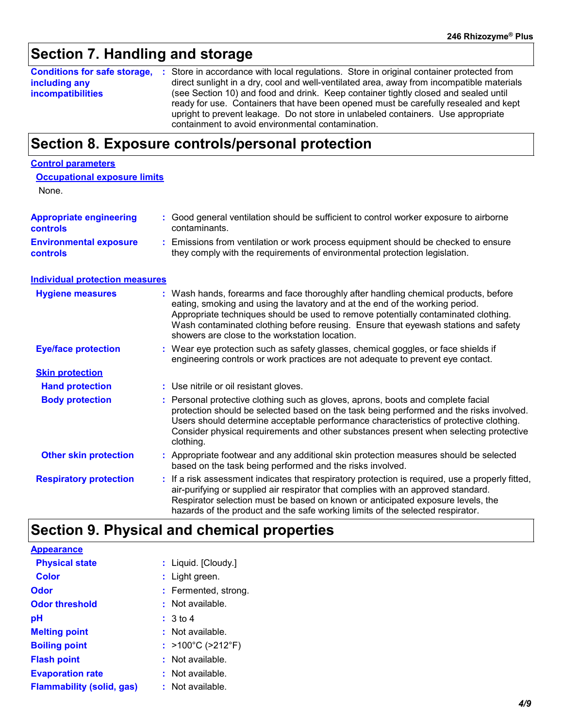# **Section 7. Handling and storage**

| including any<br><i>incompatibilities</i> | <b>Conditions for safe storage, :</b> Store in accordance with local regulations. Store in original container protected from<br>direct sunlight in a dry, cool and well-ventilated area, away from incompatible materials<br>(see Section 10) and food and drink. Keep container tightly closed and sealed until<br>ready for use. Containers that have been opened must be carefully resealed and kept |
|-------------------------------------------|---------------------------------------------------------------------------------------------------------------------------------------------------------------------------------------------------------------------------------------------------------------------------------------------------------------------------------------------------------------------------------------------------------|
|                                           | upright to prevent leakage. Do not store in unlabeled containers. Use appropriate<br>containment to avoid environmental contamination.                                                                                                                                                                                                                                                                  |

# **Section 8. Exposure controls/personal protection**

| <b>Control parameters</b>                         |                                                                                                                                                                                                                                                                                                                                                                                                   |
|---------------------------------------------------|---------------------------------------------------------------------------------------------------------------------------------------------------------------------------------------------------------------------------------------------------------------------------------------------------------------------------------------------------------------------------------------------------|
| <b>Occupational exposure limits</b>               |                                                                                                                                                                                                                                                                                                                                                                                                   |
| None.                                             |                                                                                                                                                                                                                                                                                                                                                                                                   |
| <b>Appropriate engineering</b><br><b>controls</b> | : Good general ventilation should be sufficient to control worker exposure to airborne<br>contaminants.                                                                                                                                                                                                                                                                                           |
| <b>Environmental exposure</b><br><b>controls</b>  | Emissions from ventilation or work process equipment should be checked to ensure<br>they comply with the requirements of environmental protection legislation.                                                                                                                                                                                                                                    |
| <b>Individual protection measures</b>             |                                                                                                                                                                                                                                                                                                                                                                                                   |
| <b>Hygiene measures</b>                           | : Wash hands, forearms and face thoroughly after handling chemical products, before<br>eating, smoking and using the lavatory and at the end of the working period.<br>Appropriate techniques should be used to remove potentially contaminated clothing.<br>Wash contaminated clothing before reusing. Ensure that eyewash stations and safety<br>showers are close to the workstation location. |
| <b>Eye/face protection</b>                        | : Wear eye protection such as safety glasses, chemical goggles, or face shields if<br>engineering controls or work practices are not adequate to prevent eve contact.                                                                                                                                                                                                                             |
| <b>Skin protection</b>                            |                                                                                                                                                                                                                                                                                                                                                                                                   |
| <b>Hand protection</b>                            | : Use nitrile or oil resistant gloves.                                                                                                                                                                                                                                                                                                                                                            |
| <b>Body protection</b>                            | : Personal protective clothing such as gloves, aprons, boots and complete facial<br>protection should be selected based on the task being performed and the risks involved.<br>Users should determine acceptable performance characteristics of protective clothing.<br>Consider physical requirements and other substances present when selecting protective<br>clothing.                        |
| <b>Other skin protection</b>                      | : Appropriate footwear and any additional skin protection measures should be selected<br>based on the task being performed and the risks involved.                                                                                                                                                                                                                                                |
| <b>Respiratory protection</b>                     | : If a risk assessment indicates that respiratory protection is required, use a properly fitted,<br>air-purifying or supplied air respirator that complies with an approved standard.<br>Respirator selection must be based on known or anticipated exposure levels, the<br>hazards of the product and the safe working limits of the selected respirator.                                        |

### **Section 9. Physical and chemical properties**

| <b>Appearance</b>                |                      |
|----------------------------------|----------------------|
| <b>Physical state</b>            | : Liquid. [Cloudy.]  |
| Color                            | : Light green.       |
| Odor                             | : Fermented, strong. |
| <b>Odor threshold</b>            | $:$ Not available.   |
| рH                               | : 3 to 4             |
| <b>Melting point</b>             | $:$ Not available.   |
| <b>Boiling point</b>             | : >100°C (>212°F)    |
| <b>Flash point</b>               | $:$ Not available.   |
| <b>Evaporation rate</b>          | $:$ Not available.   |
| <b>Flammability (solid, gas)</b> | $:$ Not available.   |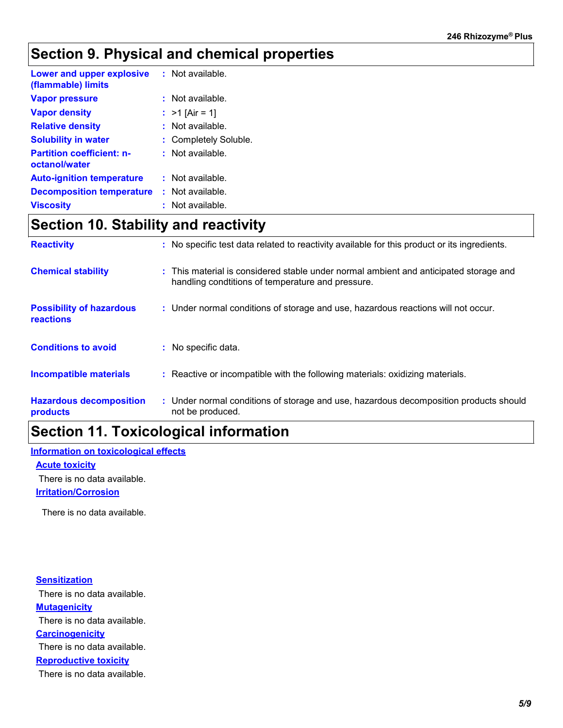# **Section 9. Physical and chemical properties**

| Lower and upper explosive<br>(flammable) limits   | $:$ Not available.    |
|---------------------------------------------------|-----------------------|
| <b>Vapor pressure</b>                             | $:$ Not available.    |
| <b>Vapor density</b>                              | : $>1$ [Air = 1]      |
| <b>Relative density</b>                           | : Not available.      |
| <b>Solubility in water</b>                        | : Completely Soluble. |
| <b>Partition coefficient: n-</b><br>octanol/water | $:$ Not available.    |
| <b>Auto-ignition temperature</b>                  | $:$ Not available.    |
| <b>Decomposition temperature</b>                  | : Not available.      |
| <b>Viscosity</b>                                  | . Not available       |

# **Section 10. Stability and reactivity**

| <b>Reactivity</b>                            | : No specific test data related to reactivity available for this product or its ingredients.                                              |
|----------------------------------------------|-------------------------------------------------------------------------------------------------------------------------------------------|
| <b>Chemical stability</b>                    | : This material is considered stable under normal ambient and anticipated storage and<br>handling conditions of temperature and pressure. |
| <b>Possibility of hazardous</b><br>reactions | : Under normal conditions of storage and use, hazardous reactions will not occur.                                                         |
| <b>Conditions to avoid</b>                   | : No specific data.                                                                                                                       |
| <b>Incompatible materials</b>                | : Reactive or incompatible with the following materials: oxidizing materials.                                                             |
| <b>Hazardous decomposition</b><br>products   | : Under normal conditions of storage and use, hazardous decomposition products should<br>not be produced.                                 |

## **Section 11. Toxicological information**

#### **Information on toxicological effects**

#### **Acute toxicity**

There is no data available.

#### **Irritation/Corrosion**

There is no data available.

**Carcinogenicity Mutagenicity Reproductive toxicity Sensitization** There is no data available. There is no data available. There is no data available. There is no data available.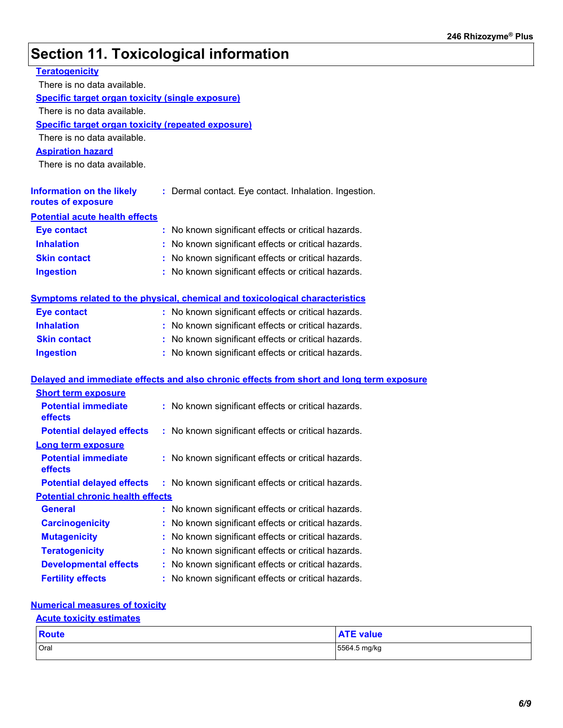# **Section 11. Toxicological information**

| <b>Teratogenicity</b>                                     |                                                                                                                                            |
|-----------------------------------------------------------|--------------------------------------------------------------------------------------------------------------------------------------------|
| There is no data available.                               |                                                                                                                                            |
| <b>Specific target organ toxicity (single exposure)</b>   |                                                                                                                                            |
| There is no data available.                               |                                                                                                                                            |
| <b>Specific target organ toxicity (repeated exposure)</b> |                                                                                                                                            |
| There is no data available.                               |                                                                                                                                            |
| <b>Aspiration hazard</b>                                  |                                                                                                                                            |
| There is no data available.                               |                                                                                                                                            |
| <b>Information on the likely</b><br>routes of exposure    | : Dermal contact. Eye contact. Inhalation. Ingestion.                                                                                      |
| <b>Potential acute health effects</b>                     |                                                                                                                                            |
| <b>Eye contact</b>                                        | : No known significant effects or critical hazards.                                                                                        |
| <b>Inhalation</b>                                         | : No known significant effects or critical hazards.                                                                                        |
| <b>Skin contact</b>                                       | : No known significant effects or critical hazards.                                                                                        |
| <b>Ingestion</b>                                          | : No known significant effects or critical hazards.                                                                                        |
|                                                           |                                                                                                                                            |
| <b>Eye contact</b>                                        | <b>Symptoms related to the physical, chemical and toxicological characteristics</b><br>: No known significant effects or critical hazards. |
| <b>Inhalation</b>                                         | : No known significant effects or critical hazards.                                                                                        |
| <b>Skin contact</b>                                       | : No known significant effects or critical hazards.                                                                                        |
| <b>Ingestion</b>                                          | : No known significant effects or critical hazards.                                                                                        |
|                                                           |                                                                                                                                            |
|                                                           | Delayed and immediate effects and also chronic effects from short and long term exposure                                                   |
| <b>Short term exposure</b>                                |                                                                                                                                            |
| <b>Potential immediate</b><br>effects                     | : No known significant effects or critical hazards.                                                                                        |
| <b>Potential delayed effects</b>                          | : No known significant effects or critical hazards.                                                                                        |
| <b>Long term exposure</b>                                 |                                                                                                                                            |
| <b>Potential immediate</b><br>effects                     | : No known significant effects or critical hazards.                                                                                        |
| <b>Potential delayed effects</b>                          | : No known significant effects or critical hazards.                                                                                        |
| <b>Potential chronic health effects</b>                   |                                                                                                                                            |
| <b>General</b>                                            | : No known significant effects or critical hazards.                                                                                        |
| <b>Carcinogenicity</b>                                    | : No known significant effects or critical hazards.                                                                                        |
| <b>Mutagenicity</b>                                       | : No known significant effects or critical hazards.                                                                                        |
| <b>Teratogenicity</b>                                     | : No known significant effects or critical hazards.                                                                                        |
| <b>Developmental effects</b>                              | : No known significant effects or critical hazards.                                                                                        |
| <b>Fertility effects</b>                                  | : No known significant effects or critical hazards.                                                                                        |
|                                                           |                                                                                                                                            |

#### **Numerical measures of toxicity**

### **Acute toxicity estimates**

| Route | <b>ATE value</b> |
|-------|------------------|
| Oral  | 5564.5 mg/kg     |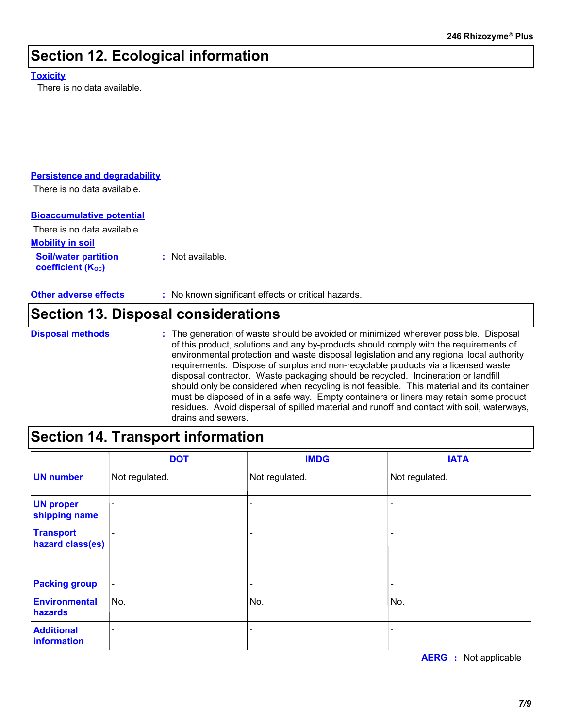## **Section 12. Ecological information**

#### **Toxicity**

There is no data available.

#### **Persistence and degradability**

There is no data available.

#### **Bioaccumulative potential**

**Soil/water partition Mobility in soil** There is no data available.

#### **:** Not available.

**coefficient (K**<sub>oc</sub>)

**Other adverse effects** : No known significant effects or critical hazards.

### **Section 13. Disposal considerations**

- **Disposal methods :**
- The generation of waste should be avoided or minimized wherever possible. Disposal of this product, solutions and any by-products should comply with the requirements of environmental protection and waste disposal legislation and any regional local authority requirements. Dispose of surplus and non-recyclable products via a licensed waste disposal contractor. Waste packaging should be recycled. Incineration or landfill should only be considered when recycling is not feasible. This material and its container must be disposed of in a safe way. Empty containers or liners may retain some product residues. Avoid dispersal of spilled material and runoff and contact with soil, waterways, drains and sewers.

### **Section 14. Transport information**

|                                      | <b>DOT</b>               | <b>IMDG</b>              | <b>IATA</b>                  |
|--------------------------------------|--------------------------|--------------------------|------------------------------|
| <b>UN number</b>                     | Not regulated.           | Not regulated.           | Not regulated.               |
| <b>UN proper</b><br>shipping name    | $\overline{\phantom{0}}$ |                          |                              |
| <b>Transport</b><br>hazard class(es) |                          |                          | $\overline{\phantom{0}}$     |
| <b>Packing group</b>                 | $\overline{\phantom{a}}$ | $\overline{\phantom{0}}$ | $\qquad \qquad \blacksquare$ |
| <b>Environmental</b><br>hazards      | No.                      | No.                      | No.                          |
| <b>Additional</b><br>information     |                          |                          | $\overline{\phantom{a}}$     |

**AERG :** Not applicable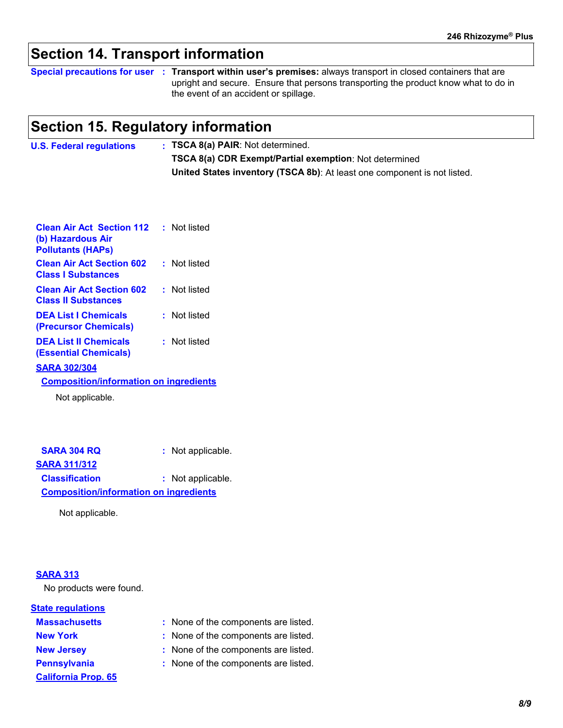# **Section 14. Transport information**

**Special precautions for user Transport within user's premises:** always transport in closed containers that are **:** upright and secure. Ensure that persons transporting the product know what to do in the event of an accident or spillage.

### **Section 15. Regulatory information**

| <b>U.S. Federal regulations</b> | $\cdot$ : TSCA 8(a) PAIR: Not determined.                                |  |
|---------------------------------|--------------------------------------------------------------------------|--|
|                                 | <b>TSCA 8(a) CDR Exempt/Partial exemption: Not determined</b>            |  |
|                                 | United States inventory (TSCA 8b): At least one component is not listed. |  |

| <b>Clean Air Act Section 112</b><br>(b) Hazardous Air<br><b>Pollutants (HAPs)</b> | : Not listed |
|-----------------------------------------------------------------------------------|--------------|
| <b>Clean Air Act Section 602</b><br><b>Class I Substances</b>                     | : Not listed |
| <b>Clean Air Act Section 602</b><br><b>Class II Substances</b>                    | : Not listed |
| <b>DEA List I Chemicals</b><br>(Precursor Chemicals)                              | : Not listed |
| <b>DEA List II Chemicals</b><br><b>(Essential Chemicals)</b>                      | Not listed   |
| <b>SARA 302/304</b>                                                               |              |
| <b>Composition/information on ingredients</b>                                     |              |
| Not applicable.                                                                   |              |

| <b>SARA 304 RQ</b>                            | : Not applicable. |
|-----------------------------------------------|-------------------|
| <b>SARA 311/312</b>                           |                   |
| <b>Classification</b>                         | : Not applicable. |
| <b>Composition/information on ingredients</b> |                   |

Not applicable.

#### **SARA 313**

No products were found.

#### **State regulations**

- **Massachusetts California Prop. 65**
- None of the components are listed. **:**
- **New York :** None of the components are listed.
- **New Jersey :** None of the components are listed.
- **Pennsylvania :** None of the components are listed.